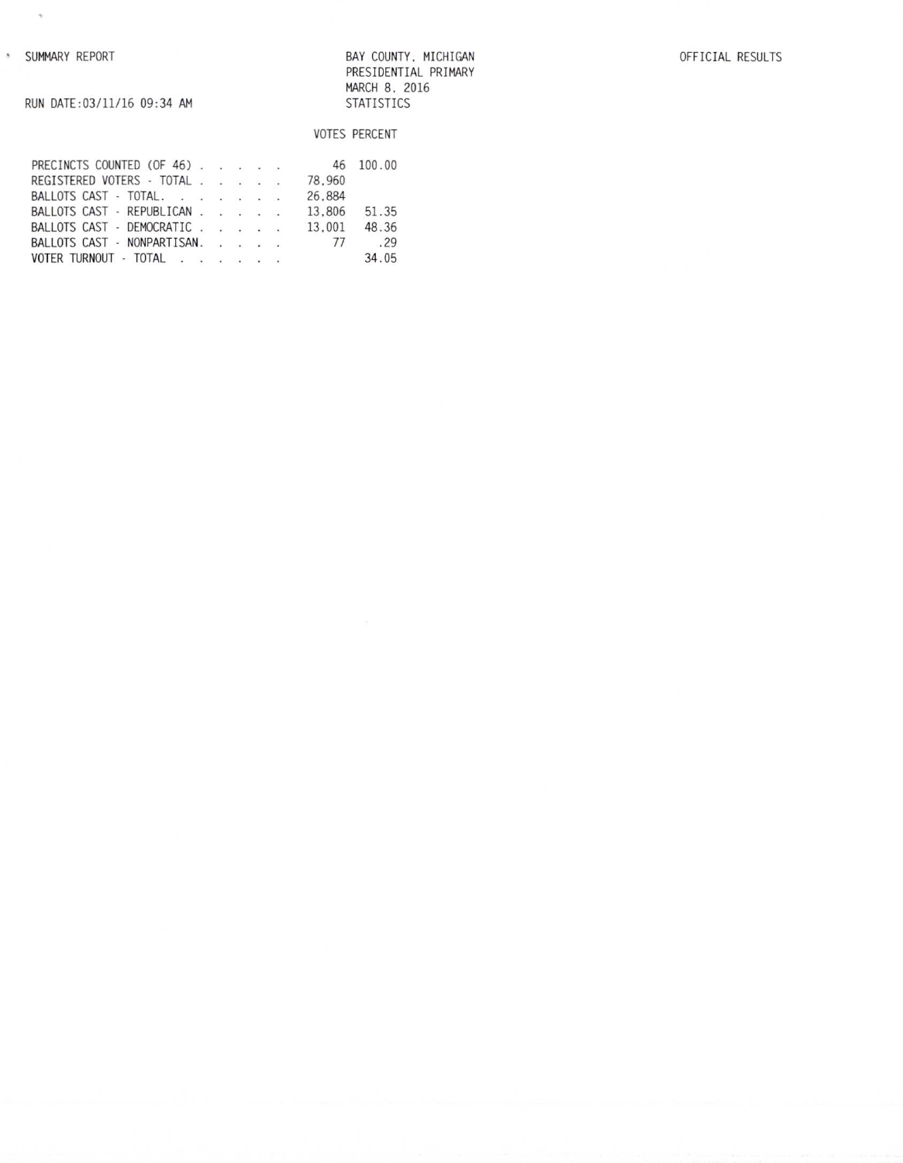$\gamma$ 

BAY COUNTY, MICHIGAN PRESIDENTIAL PRIMARY MARCH 8, 2016 STATISTICS

RUN DATE: 03/11/16 09:34 AM

# VOTES PERCENT PRECINCTS COUNTED (OF 46)<br>REGISTERED VOTERS - TOTAL . . . . . . 78,960<br>BALLOTS CAST - TOTAL . . . . . . . . 26,884 46 100.00

|  | BALLOTS CAST - REPUBLICAN   |  |  |  | 13.806 51.35 |        |
|--|-----------------------------|--|--|--|--------------|--------|
|  | BALLOTS CAST - DEMOCRATIC   |  |  |  | 13.001       | 48.36  |
|  | BALLOTS CAST - NONPARTISAN. |  |  |  |              | 77 .29 |
|  | VOTER TURNOUT - TOTAL       |  |  |  |              | 34.05  |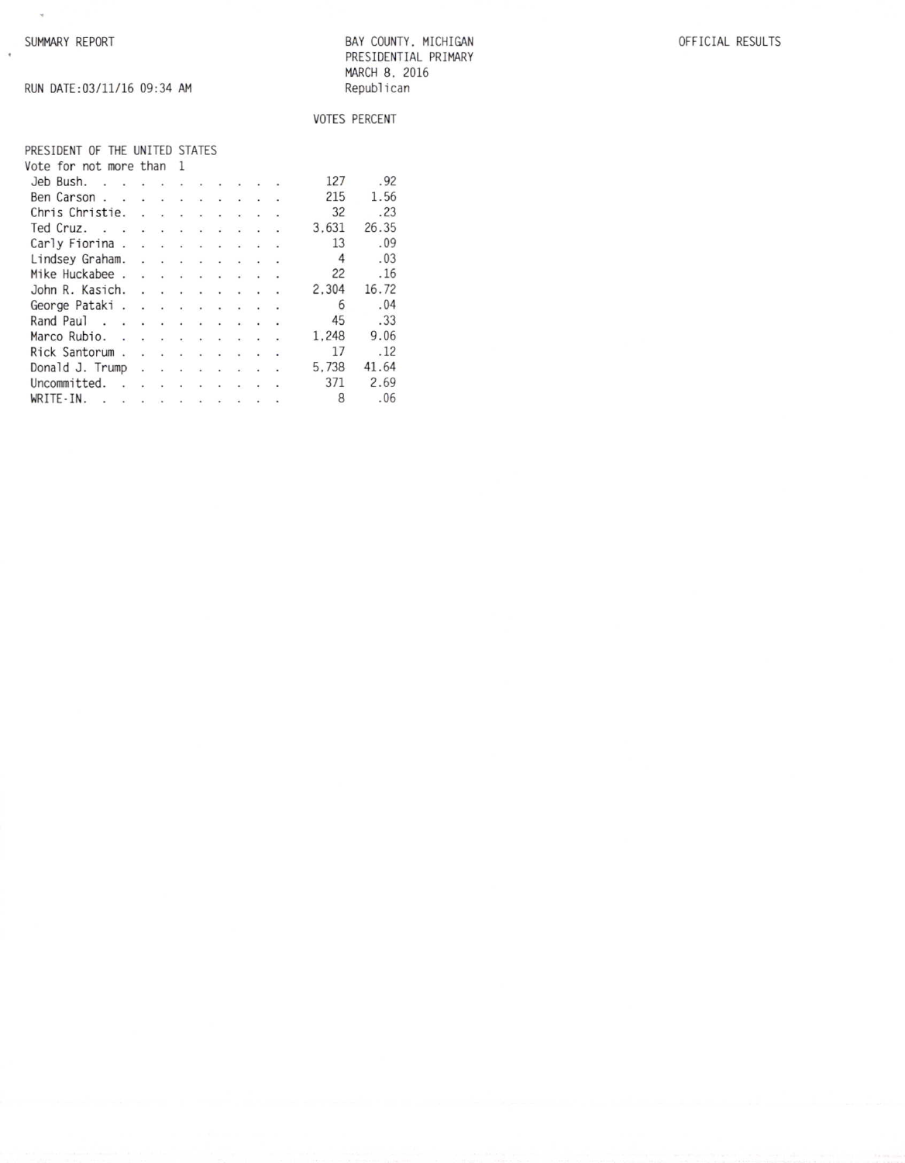$\sim$ 

 $\ddot{\phantom{a}}$ 

BAY COUNTY, MICHIGAN PRESIDENTIAL PRIMARY MARCH 8, 2016 Republican

### OFFICIAL RESULTS

RUN DATE:03/11/16 09:34 AM

# VOTES PERCENT

#### PRESIDENT OF THE UNITED STATES Vote for not more than 1

| Jeb Bush.                                       |  |  |  |        | 127   | .92   |
|-------------------------------------------------|--|--|--|--------|-------|-------|
| Ben Carson                                      |  |  |  |        | 215   | 1.56  |
| Chris Christie.                                 |  |  |  |        | 32    | .23   |
| Ted Cruz.                                       |  |  |  |        | 3.631 | 26.35 |
| Carly Fiorina                                   |  |  |  |        | 13    | .09   |
| Lindsey Graham.                                 |  |  |  |        | 4     | .03   |
| Mike Huckabee                                   |  |  |  |        | 22    | .16   |
| John R. Kasich.                                 |  |  |  |        | 2.304 | 16.72 |
| George Pataki.                                  |  |  |  |        | 6     | .04   |
| Rand Paul                                       |  |  |  |        | 45    | .33   |
| Marco Rubio.                                    |  |  |  |        | 1.248 | 9.06  |
| Rick Santorum                                   |  |  |  |        | 17    | .12   |
| Donald J. Trump                                 |  |  |  |        | 5.738 | 41.64 |
| Uncommitted.<br>the contract of the contract of |  |  |  | $\sim$ | 371   | 2.69  |
| WRITE-IN.<br>$\sim$                             |  |  |  |        | 8     | .06   |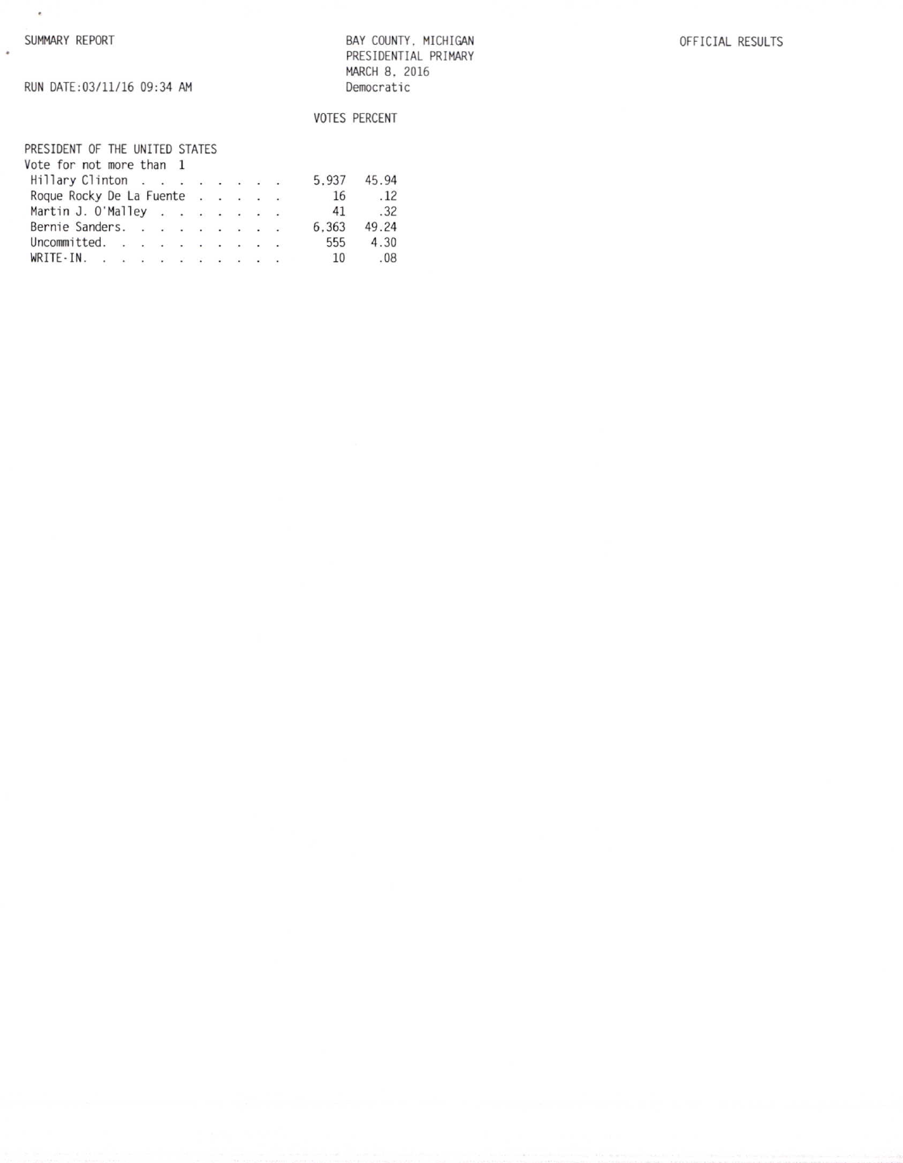$\sim$ 

 $\ddot{\phantom{a}}$ 

BAY COUNTY, MICHIGAN PRESIDENTIAL PRIMARY MARCH 8, 2016 Democratic

# VOTES PERCENT

| PRESIDENT OF THE UNITED STATES |  |  |  |       |       |
|--------------------------------|--|--|--|-------|-------|
| Vote for not more than 1       |  |  |  |       |       |
| Hillary Clinton                |  |  |  | 5.937 | 45.94 |
| Roque Rocky De La Fuente       |  |  |  | 16    | .12   |
| Martin J. O'Malley             |  |  |  | 41    | .32   |
| Bernie Sanders.                |  |  |  | 6.363 | 49.24 |
| Uncommitted. $\ldots$          |  |  |  | 555   | 4.30  |
| WRITE-IN.                      |  |  |  | 10    | .08   |